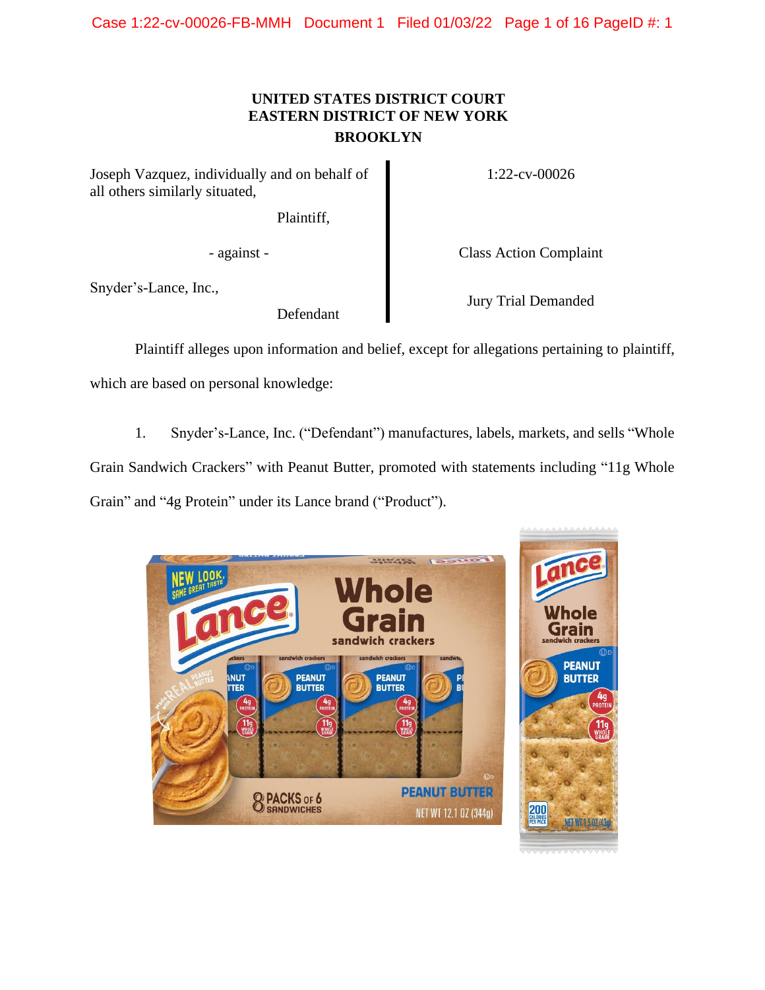# **UNITED STATES DISTRICT COURT EASTERN DISTRICT OF NEW YORK BROOKLYN**

Joseph Vazquez, individually and on behalf of all others similarly situated,

Plaintiff,

Snyder's-Lance, Inc.,

Defendant

1:22-cv-00026

- against - Class Action Complaint

Jury Trial Demanded

Plaintiff alleges upon information and belief, except for allegations pertaining to plaintiff,

which are based on personal knowledge:

1. Snyder's-Lance, Inc. ("Defendant") manufactures, labels, markets, and sells "Whole Grain Sandwich Crackers" with Peanut Butter, promoted with statements including "11g Whole Grain" and "4g Protein" under its Lance brand ("Product").

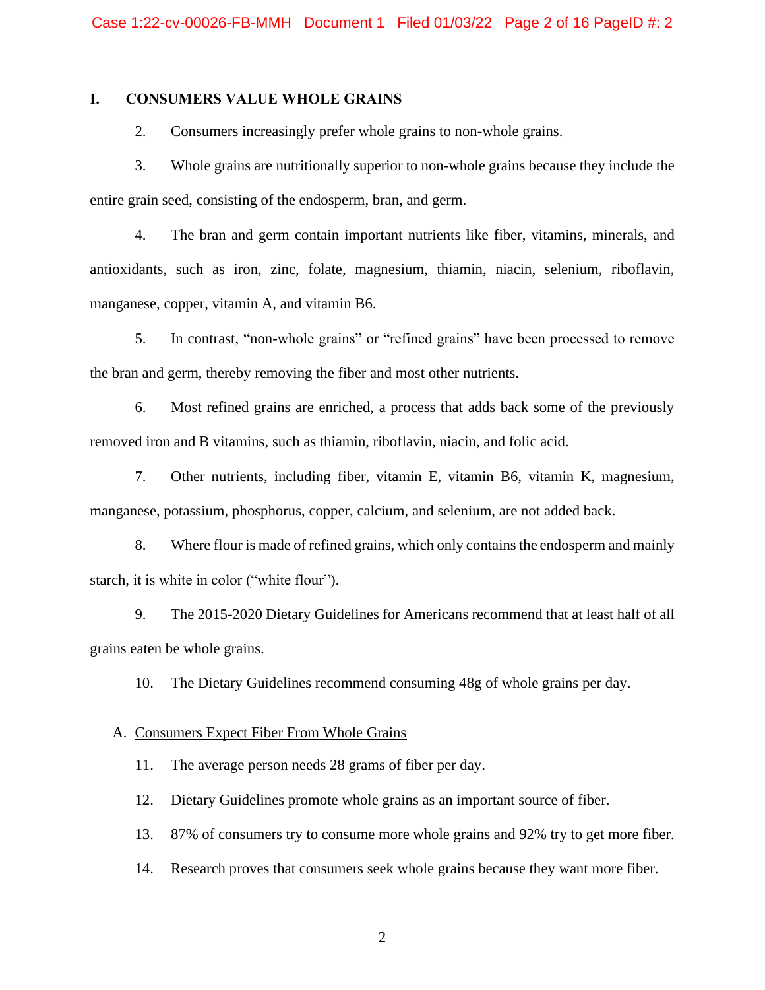## **I. CONSUMERS VALUE WHOLE GRAINS**

2. Consumers increasingly prefer whole grains to non-whole grains.

3. Whole grains are nutritionally superior to non-whole grains because they include the entire grain seed, consisting of the endosperm, bran, and germ.

4. The bran and germ contain important nutrients like fiber, vitamins, minerals, and antioxidants, such as iron, zinc, folate, magnesium, thiamin, niacin, selenium, riboflavin, manganese, copper, vitamin A, and vitamin B6.

5. In contrast, "non-whole grains" or "refined grains" have been processed to remove the bran and germ, thereby removing the fiber and most other nutrients.

6. Most refined grains are enriched, a process that adds back some of the previously removed iron and B vitamins, such as thiamin, riboflavin, niacin, and folic acid.

7. Other nutrients, including fiber, vitamin E, vitamin B6, vitamin K, magnesium, manganese, potassium, phosphorus, copper, calcium, and selenium, are not added back.

8. Where flour is made of refined grains, which only contains the endosperm and mainly starch, it is white in color ("white flour").

9. The 2015-2020 Dietary Guidelines for Americans recommend that at least half of all grains eaten be whole grains.

10. The Dietary Guidelines recommend consuming 48g of whole grains per day.

#### A. Consumers Expect Fiber From Whole Grains

11. The average person needs 28 grams of fiber per day.

12. Dietary Guidelines promote whole grains as an important source of fiber.

13. 87% of consumers try to consume more whole grains and 92% try to get more fiber.

14. Research proves that consumers seek whole grains because they want more fiber.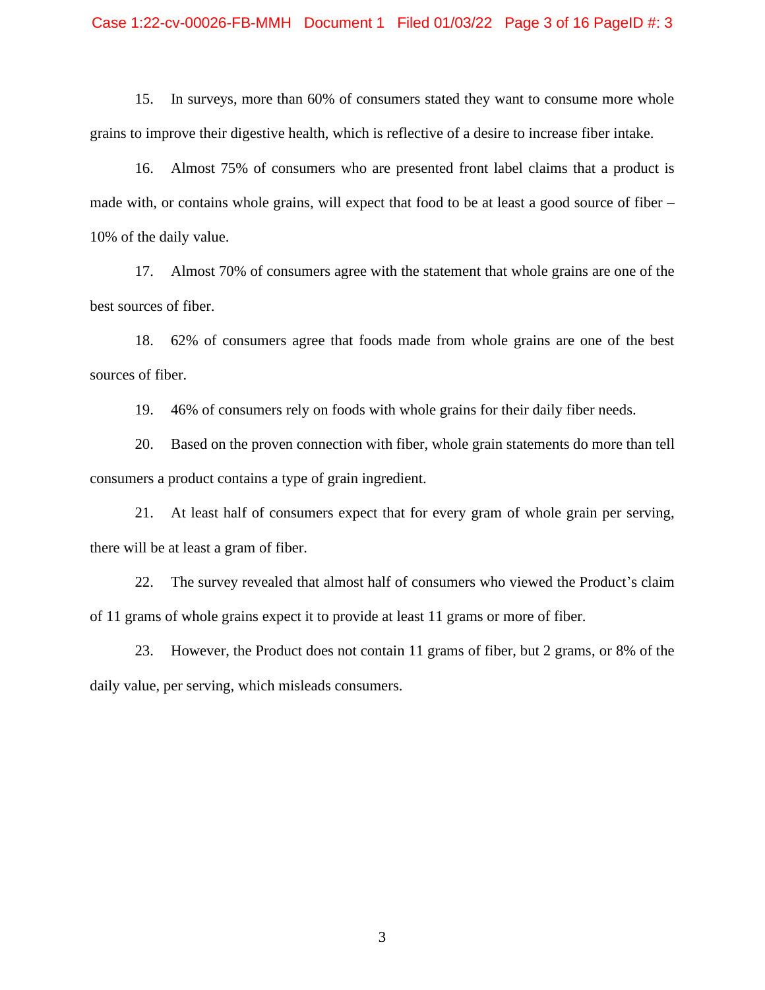#### Case 1:22-cv-00026-FB-MMH Document 1 Filed 01/03/22 Page 3 of 16 PageID #: 3

15. In surveys, more than 60% of consumers stated they want to consume more whole grains to improve their digestive health, which is reflective of a desire to increase fiber intake.

16. Almost 75% of consumers who are presented front label claims that a product is made with, or contains whole grains, will expect that food to be at least a good source of fiber – 10% of the daily value.

17. Almost 70% of consumers agree with the statement that whole grains are one of the best sources of fiber.

18. 62% of consumers agree that foods made from whole grains are one of the best sources of fiber.

19. 46% of consumers rely on foods with whole grains for their daily fiber needs.

20. Based on the proven connection with fiber, whole grain statements do more than tell consumers a product contains a type of grain ingredient.

21. At least half of consumers expect that for every gram of whole grain per serving, there will be at least a gram of fiber.

22. The survey revealed that almost half of consumers who viewed the Product's claim of 11 grams of whole grains expect it to provide at least 11 grams or more of fiber.

23. However, the Product does not contain 11 grams of fiber, but 2 grams, or 8% of the daily value, per serving, which misleads consumers.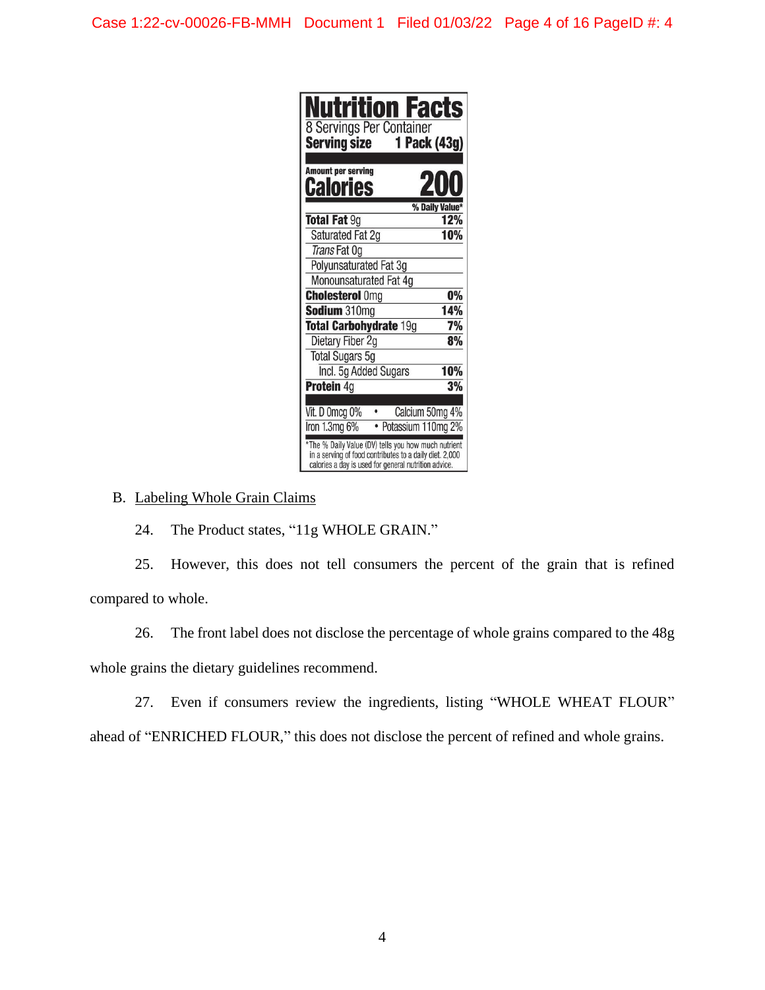| <b>Nutrition Facts</b><br><b>8 Servings Per Container</b><br>1 Pack (43g)<br><b>Serving size</b>                                                                      |     |
|-----------------------------------------------------------------------------------------------------------------------------------------------------------------------|-----|
| <b>Amount per serving</b><br>20<br>Calories                                                                                                                           |     |
| % Daily Value*<br><b>Total Fat 9g</b>                                                                                                                                 | 12% |
| Saturated Fat 2g                                                                                                                                                      | 10% |
| Trans Fat Og                                                                                                                                                          |     |
| Polyunsaturated Fat 3g                                                                                                                                                |     |
| Monounsaturated Fat 4g                                                                                                                                                |     |
| <b>Cholesterol Omg</b>                                                                                                                                                | 0%  |
| Sodium 310mg                                                                                                                                                          | 14% |
| <b>Total Carbohydrate 19g</b>                                                                                                                                         | 7%  |
| Dietary Fiber 2g                                                                                                                                                      | 8%  |
| <b>Total Sugars 5g</b>                                                                                                                                                |     |
| Incl. 5g Added Sugars                                                                                                                                                 | 10% |
| <b>Protein 4g</b>                                                                                                                                                     | 3%  |
| Calcium 50mg 4%<br>Vit. D 0mcg 0%<br>Iron 1.3mg 6%<br>Potassium 110mg 2%                                                                                              |     |
| The % Daily Value (DV) tells you how much nutrient<br>in a serving of food contributes to a daily diet. 2,000<br>calories a day is used for general nutrition advice. |     |

## B. Labeling Whole Grain Claims

24. The Product states, "11g WHOLE GRAIN."

25. However, this does not tell consumers the percent of the grain that is refined compared to whole.

26. The front label does not disclose the percentage of whole grains compared to the 48g whole grains the dietary guidelines recommend.

27. Even if consumers review the ingredients, listing "WHOLE WHEAT FLOUR" ahead of "ENRICHED FLOUR," this does not disclose the percent of refined and whole grains.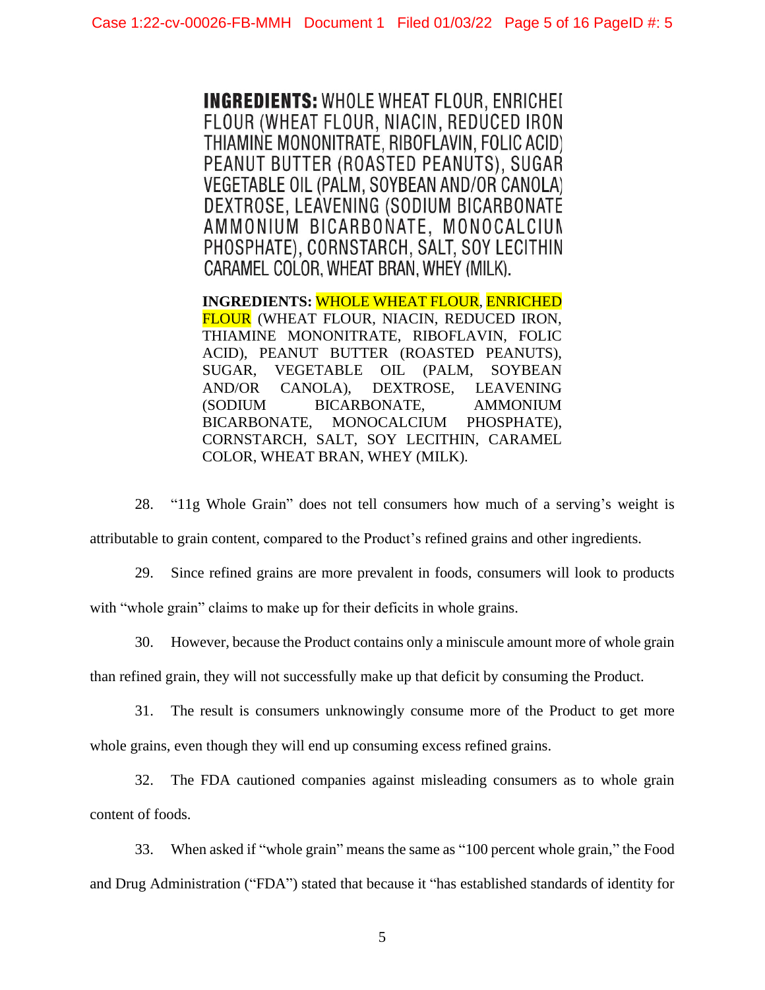**INGREDIENTS: WHOLE WHEAT FLOUR. ENRICHED** FLOUR (WHEAT FLOUR, NIACIN, REDUCED IRON THIAMINE MONONITRATE, RIBOFLAVIN, FOLIC ACID) PEANUT BUTTER (ROASTED PEANUTS), SUGAR VEGETABLE OIL (PALM, SOYBEAN AND/OR CANOLA) DEXTROSE, LEAVENING (SODIUM BICARBONATE AMMONIUM BICARBONATE, MONOCALCIUN PHOSPHATE), CORNSTARCH, SALT, SOY LECITHIN CARAMEL COLOR, WHEAT BRAN, WHEY (MILK).

**INGREDIENTS:** WHOLE WHEAT FLOUR, ENRICHED FLOUR (WHEAT FLOUR, NIACIN, REDUCED IRON, THIAMINE MONONITRATE, RIBOFLAVIN, FOLIC ACID), PEANUT BUTTER (ROASTED PEANUTS), SUGAR, VEGETABLE OIL (PALM, SOYBEAN AND/OR CANOLA), DEXTROSE, LEAVENING (SODIUM BICARBONATE, AMMONIUM BICARBONATE, MONOCALCIUM PHOSPHATE), CORNSTARCH, SALT, SOY LECITHIN, CARAMEL COLOR, WHEAT BRAN, WHEY (MILK).

28. "11g Whole Grain" does not tell consumers how much of a serving's weight is attributable to grain content, compared to the Product's refined grains and other ingredients.

29. Since refined grains are more prevalent in foods, consumers will look to products with "whole grain" claims to make up for their deficits in whole grains.

30. However, because the Product contains only a miniscule amount more of whole grain than refined grain, they will not successfully make up that deficit by consuming the Product.

31. The result is consumers unknowingly consume more of the Product to get more whole grains, even though they will end up consuming excess refined grains.

32. The FDA cautioned companies against misleading consumers as to whole grain content of foods.

33. When asked if "whole grain" means the same as "100 percent whole grain," the Food and Drug Administration ("FDA") stated that because it "has established standards of identity for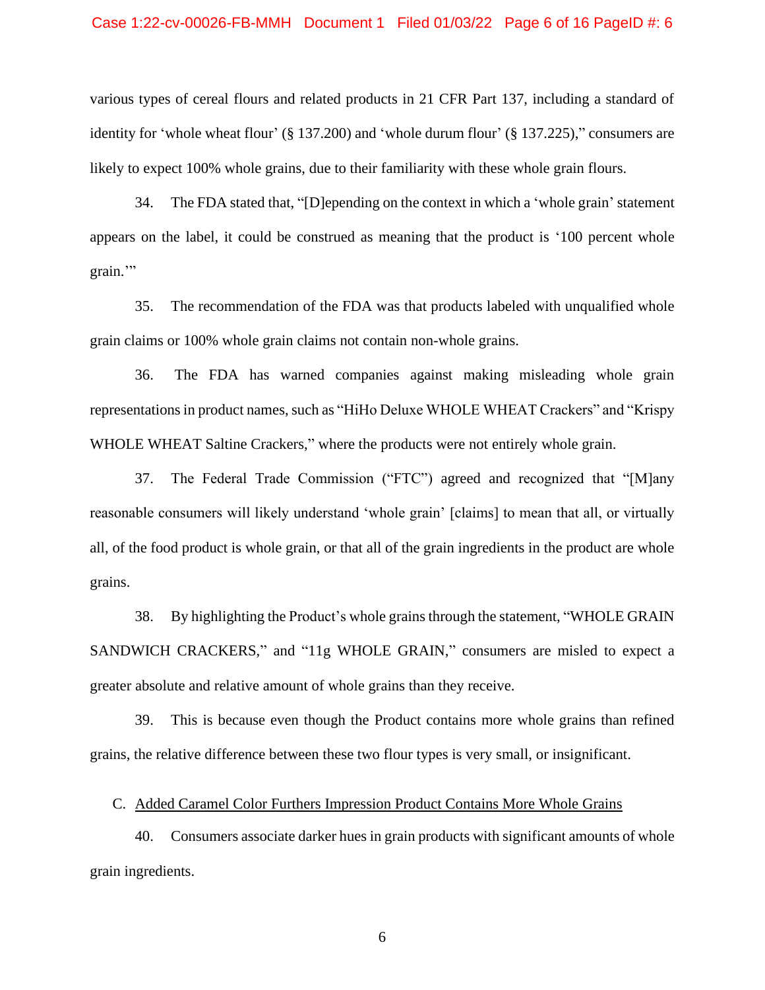#### Case 1:22-cv-00026-FB-MMH Document 1 Filed 01/03/22 Page 6 of 16 PageID #: 6

various types of cereal flours and related products in 21 CFR Part 137, including a standard of identity for 'whole wheat flour' (§ 137.200) and 'whole durum flour' (§ 137.225)," consumers are likely to expect 100% whole grains, due to their familiarity with these whole grain flours.

34. The FDA stated that, "[D]epending on the context in which a 'whole grain' statement appears on the label, it could be construed as meaning that the product is '100 percent whole grain."

35. The recommendation of the FDA was that products labeled with unqualified whole grain claims or 100% whole grain claims not contain non-whole grains.

36. The FDA has warned companies against making misleading whole grain representations in product names, such as "HiHo Deluxe WHOLE WHEAT Crackers" and "Krispy WHOLE WHEAT Saltine Crackers," where the products were not entirely whole grain.

37. The Federal Trade Commission ("FTC") agreed and recognized that "[M]any reasonable consumers will likely understand 'whole grain' [claims] to mean that all, or virtually all, of the food product is whole grain, or that all of the grain ingredients in the product are whole grains.

38. By highlighting the Product's whole grains through the statement, "WHOLE GRAIN SANDWICH CRACKERS," and "11g WHOLE GRAIN," consumers are misled to expect a greater absolute and relative amount of whole grains than they receive.

39. This is because even though the Product contains more whole grains than refined grains, the relative difference between these two flour types is very small, or insignificant.

C. Added Caramel Color Furthers Impression Product Contains More Whole Grains

40. Consumers associate darker hues in grain products with significant amounts of whole grain ingredients.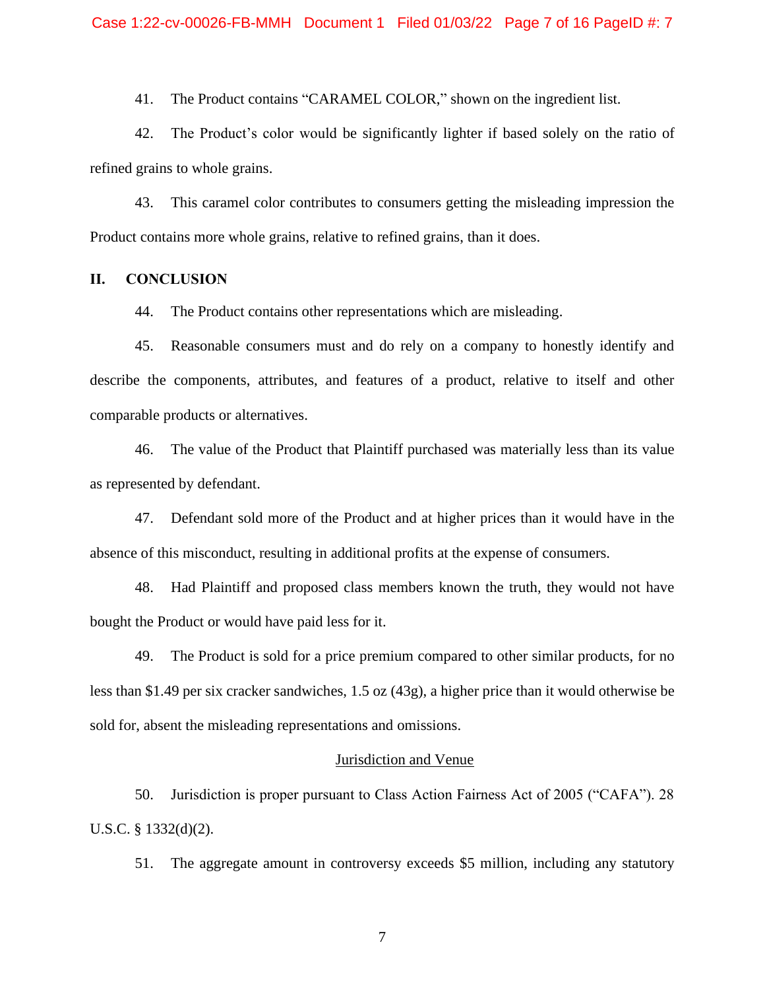41. The Product contains "CARAMEL COLOR," shown on the ingredient list.

42. The Product's color would be significantly lighter if based solely on the ratio of refined grains to whole grains.

43. This caramel color contributes to consumers getting the misleading impression the Product contains more whole grains, relative to refined grains, than it does.

#### **II. CONCLUSION**

44. The Product contains other representations which are misleading.

45. Reasonable consumers must and do rely on a company to honestly identify and describe the components, attributes, and features of a product, relative to itself and other comparable products or alternatives.

46. The value of the Product that Plaintiff purchased was materially less than its value as represented by defendant.

47. Defendant sold more of the Product and at higher prices than it would have in the absence of this misconduct, resulting in additional profits at the expense of consumers.

48. Had Plaintiff and proposed class members known the truth, they would not have bought the Product or would have paid less for it.

49. The Product is sold for a price premium compared to other similar products, for no less than \$1.49 per six cracker sandwiches, 1.5 oz (43g), a higher price than it would otherwise be sold for, absent the misleading representations and omissions.

#### Jurisdiction and Venue

50. Jurisdiction is proper pursuant to Class Action Fairness Act of 2005 ("CAFA"). 28 U.S.C. § 1332(d)(2).

51. The aggregate amount in controversy exceeds \$5 million, including any statutory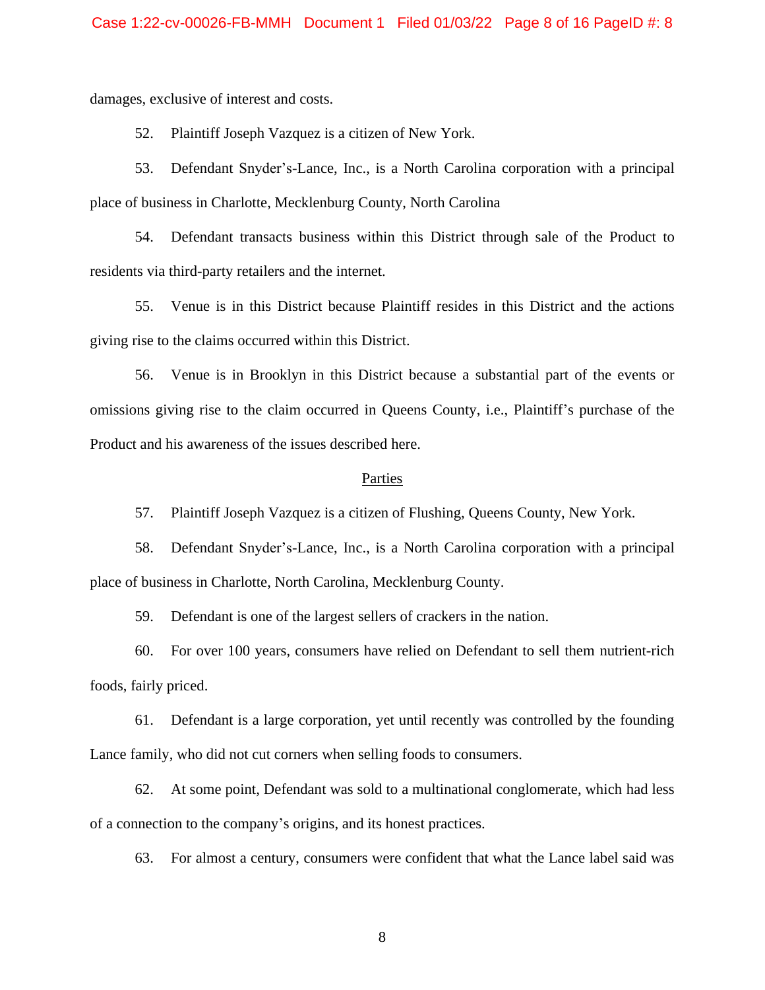damages, exclusive of interest and costs.

52. Plaintiff Joseph Vazquez is a citizen of New York.

53. Defendant Snyder's-Lance, Inc., is a North Carolina corporation with a principal place of business in Charlotte, Mecklenburg County, North Carolina

54. Defendant transacts business within this District through sale of the Product to residents via third-party retailers and the internet.

55. Venue is in this District because Plaintiff resides in this District and the actions giving rise to the claims occurred within this District.

56. Venue is in Brooklyn in this District because a substantial part of the events or omissions giving rise to the claim occurred in Queens County, i.e., Plaintiff's purchase of the Product and his awareness of the issues described here.

#### Parties

57. Plaintiff Joseph Vazquez is a citizen of Flushing, Queens County, New York.

58. Defendant Snyder's-Lance, Inc., is a North Carolina corporation with a principal place of business in Charlotte, North Carolina, Mecklenburg County.

59. Defendant is one of the largest sellers of crackers in the nation.

60. For over 100 years, consumers have relied on Defendant to sell them nutrient-rich foods, fairly priced.

61. Defendant is a large corporation, yet until recently was controlled by the founding Lance family, who did not cut corners when selling foods to consumers.

62. At some point, Defendant was sold to a multinational conglomerate, which had less of a connection to the company's origins, and its honest practices.

63. For almost a century, consumers were confident that what the Lance label said was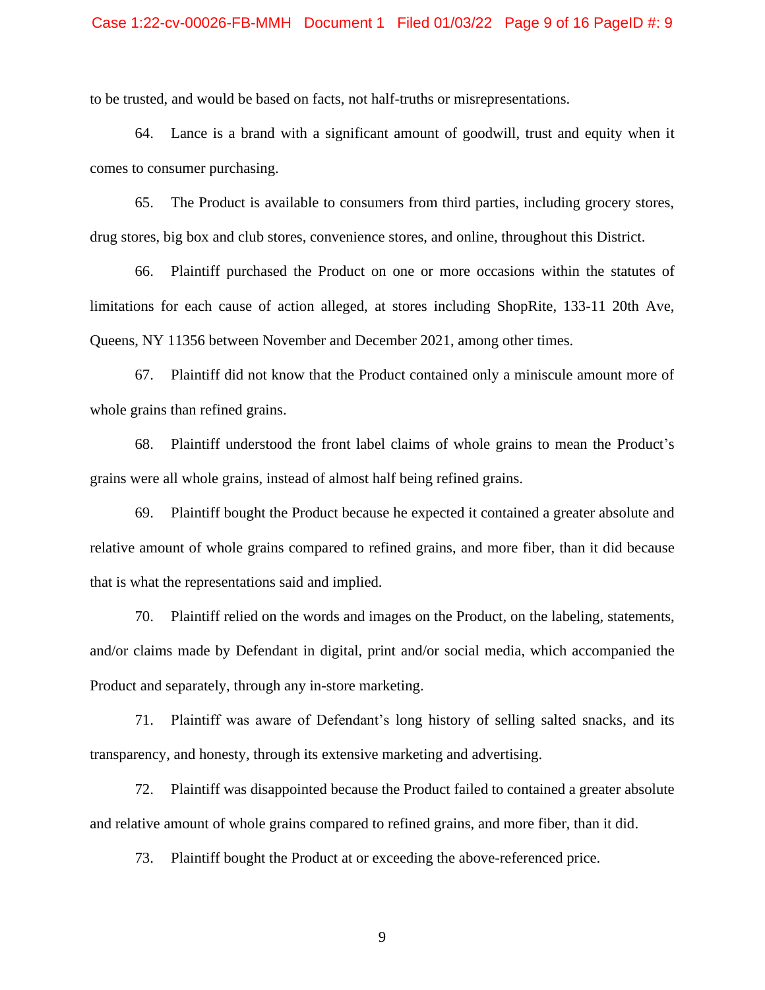to be trusted, and would be based on facts, not half-truths or misrepresentations.

64. Lance is a brand with a significant amount of goodwill, trust and equity when it comes to consumer purchasing.

65. The Product is available to consumers from third parties, including grocery stores, drug stores, big box and club stores, convenience stores, and online, throughout this District.

66. Plaintiff purchased the Product on one or more occasions within the statutes of limitations for each cause of action alleged, at stores including ShopRite, 133-11 20th Ave, Queens, NY 11356 between November and December 2021, among other times.

67. Plaintiff did not know that the Product contained only a miniscule amount more of whole grains than refined grains.

68. Plaintiff understood the front label claims of whole grains to mean the Product's grains were all whole grains, instead of almost half being refined grains.

69. Plaintiff bought the Product because he expected it contained a greater absolute and relative amount of whole grains compared to refined grains, and more fiber, than it did because that is what the representations said and implied.

70. Plaintiff relied on the words and images on the Product, on the labeling, statements, and/or claims made by Defendant in digital, print and/or social media, which accompanied the Product and separately, through any in-store marketing.

71. Plaintiff was aware of Defendant's long history of selling salted snacks, and its transparency, and honesty, through its extensive marketing and advertising.

72. Plaintiff was disappointed because the Product failed to contained a greater absolute and relative amount of whole grains compared to refined grains, and more fiber, than it did.

73. Plaintiff bought the Product at or exceeding the above-referenced price.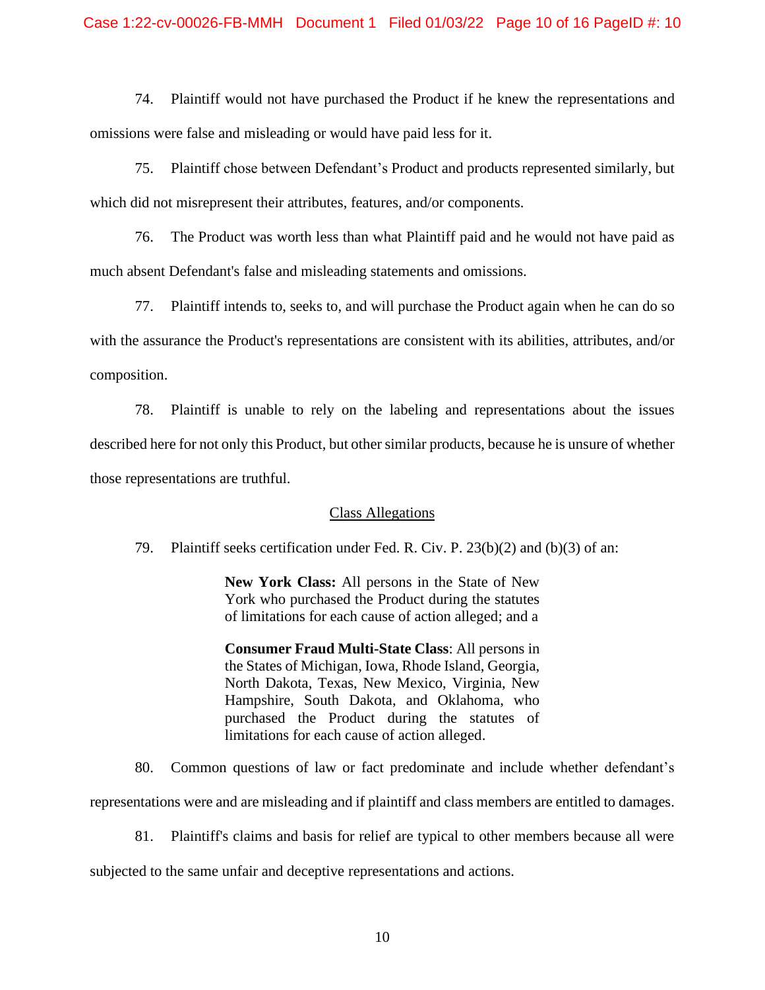74. Plaintiff would not have purchased the Product if he knew the representations and omissions were false and misleading or would have paid less for it.

75. Plaintiff chose between Defendant's Product and products represented similarly, but which did not misrepresent their attributes, features, and/or components.

76. The Product was worth less than what Plaintiff paid and he would not have paid as much absent Defendant's false and misleading statements and omissions.

77. Plaintiff intends to, seeks to, and will purchase the Product again when he can do so with the assurance the Product's representations are consistent with its abilities, attributes, and/or composition.

78. Plaintiff is unable to rely on the labeling and representations about the issues described here for not only this Product, but other similar products, because he is unsure of whether those representations are truthful.

#### Class Allegations

79. Plaintiff seeks certification under Fed. R. Civ. P. 23(b)(2) and (b)(3) of an:

**New York Class:** All persons in the State of New York who purchased the Product during the statutes of limitations for each cause of action alleged; and a

**Consumer Fraud Multi-State Class**: All persons in the States of Michigan, Iowa, Rhode Island, Georgia, North Dakota, Texas, New Mexico, Virginia, New Hampshire, South Dakota, and Oklahoma, who purchased the Product during the statutes of limitations for each cause of action alleged.

80. Common questions of law or fact predominate and include whether defendant's

representations were and are misleading and if plaintiff and class members are entitled to damages.

81. Plaintiff's claims and basis for relief are typical to other members because all were

subjected to the same unfair and deceptive representations and actions.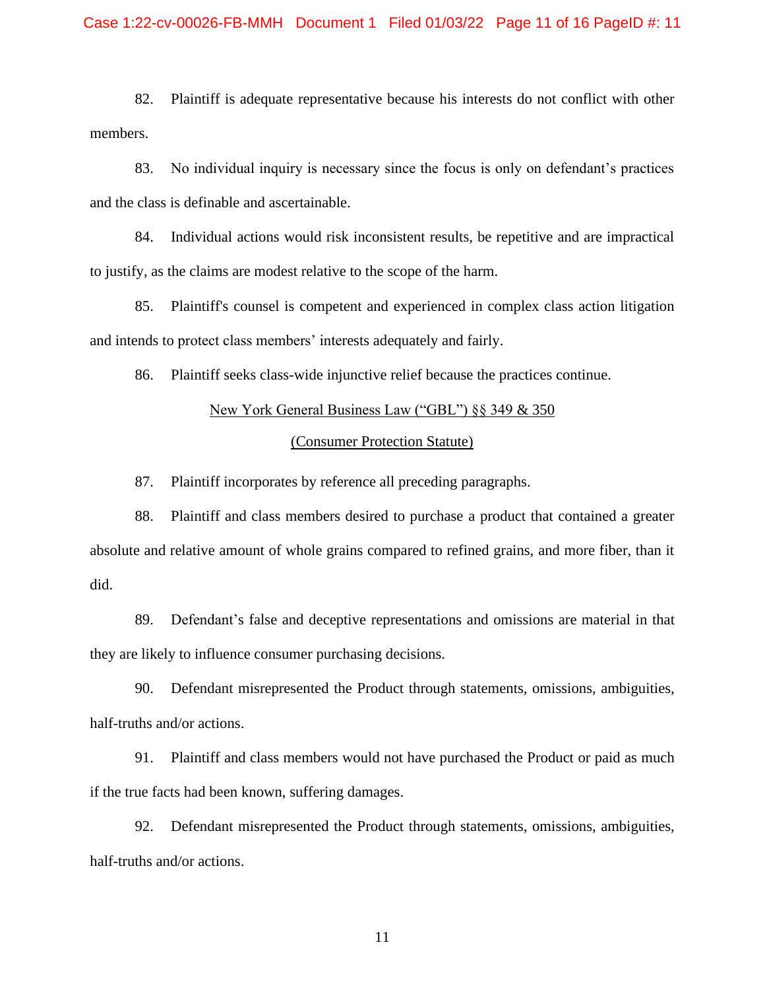82. Plaintiff is adequate representative because his interests do not conflict with other members.

83. No individual inquiry is necessary since the focus is only on defendant's practices and the class is definable and ascertainable.

84. Individual actions would risk inconsistent results, be repetitive and are impractical to justify, as the claims are modest relative to the scope of the harm.

85. Plaintiff's counsel is competent and experienced in complex class action litigation and intends to protect class members' interests adequately and fairly.

86. Plaintiff seeks class-wide injunctive relief because the practices continue.

# New York General Business Law ("GBL") §§ 349 & 350

#### (Consumer Protection Statute)

87. Plaintiff incorporates by reference all preceding paragraphs.

88. Plaintiff and class members desired to purchase a product that contained a greater absolute and relative amount of whole grains compared to refined grains, and more fiber, than it did.

89. Defendant's false and deceptive representations and omissions are material in that they are likely to influence consumer purchasing decisions.

90. Defendant misrepresented the Product through statements, omissions, ambiguities, half-truths and/or actions.

91. Plaintiff and class members would not have purchased the Product or paid as much if the true facts had been known, suffering damages.

92. Defendant misrepresented the Product through statements, omissions, ambiguities, half-truths and/or actions.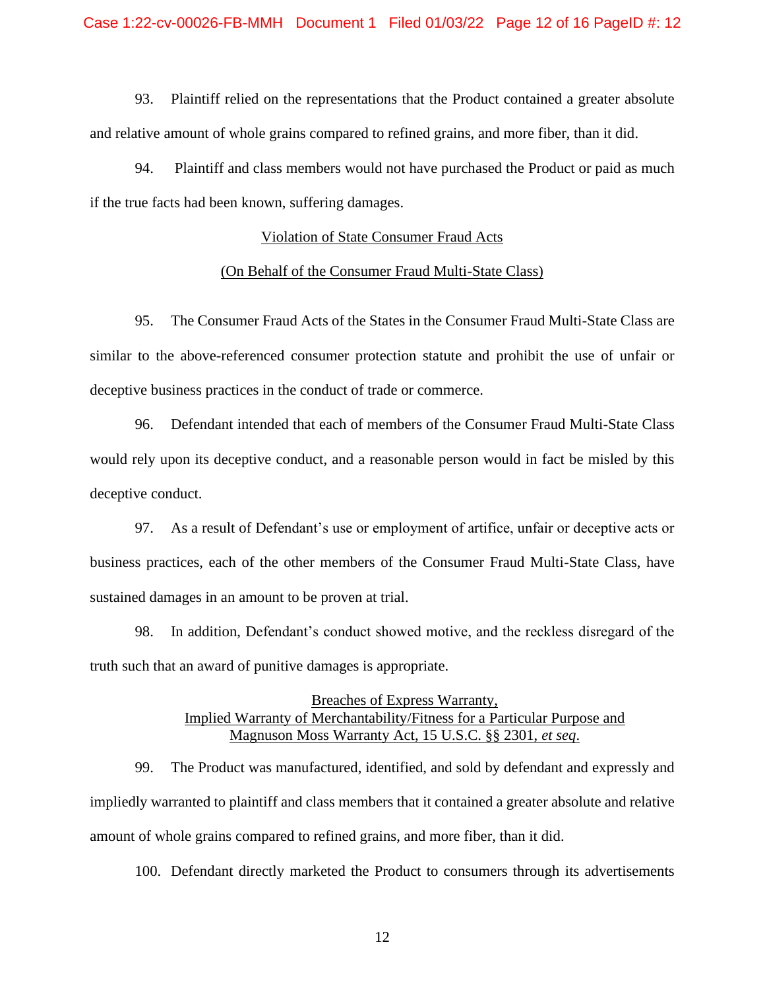93. Plaintiff relied on the representations that the Product contained a greater absolute and relative amount of whole grains compared to refined grains, and more fiber, than it did.

94. Plaintiff and class members would not have purchased the Product or paid as much if the true facts had been known, suffering damages.

#### Violation of State Consumer Fraud Acts

#### (On Behalf of the Consumer Fraud Multi-State Class)

95. The Consumer Fraud Acts of the States in the Consumer Fraud Multi-State Class are similar to the above-referenced consumer protection statute and prohibit the use of unfair or deceptive business practices in the conduct of trade or commerce.

96. Defendant intended that each of members of the Consumer Fraud Multi-State Class would rely upon its deceptive conduct, and a reasonable person would in fact be misled by this deceptive conduct.

97. As a result of Defendant's use or employment of artifice, unfair or deceptive acts or business practices, each of the other members of the Consumer Fraud Multi-State Class, have sustained damages in an amount to be proven at trial.

98. In addition, Defendant's conduct showed motive, and the reckless disregard of the truth such that an award of punitive damages is appropriate.

## Breaches of Express Warranty, Implied Warranty of Merchantability/Fitness for a Particular Purpose and Magnuson Moss Warranty Act, 15 U.S.C. §§ 2301, *et seq*.

99. The Product was manufactured, identified, and sold by defendant and expressly and impliedly warranted to plaintiff and class members that it contained a greater absolute and relative amount of whole grains compared to refined grains, and more fiber, than it did.

100. Defendant directly marketed the Product to consumers through its advertisements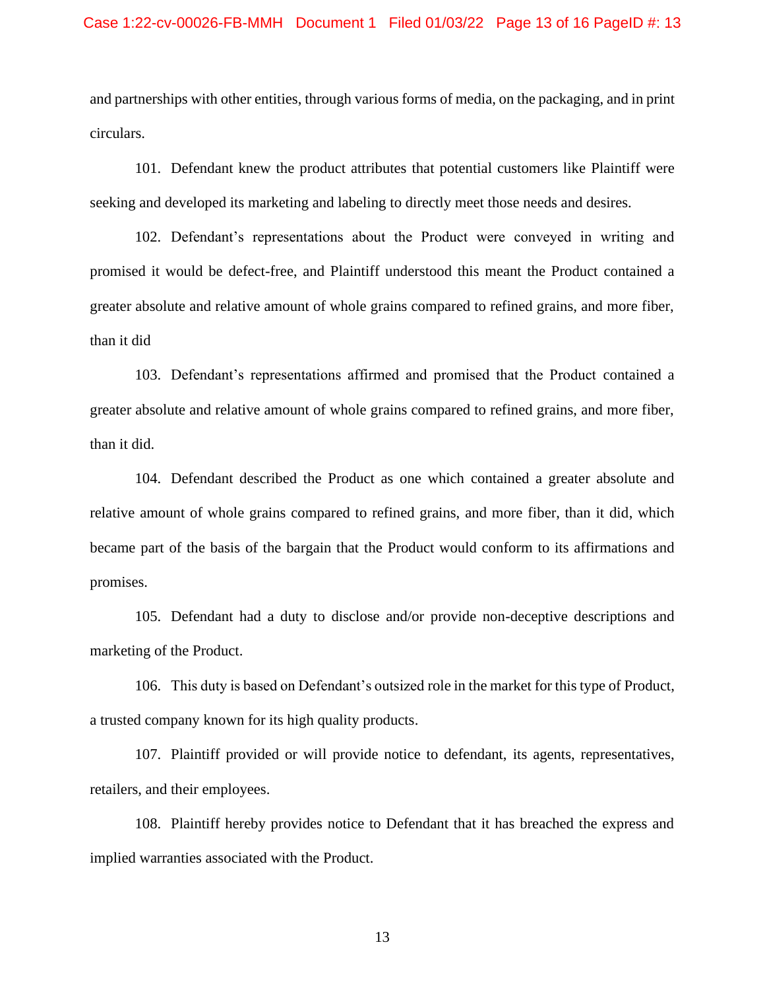and partnerships with other entities, through various forms of media, on the packaging, and in print circulars.

101. Defendant knew the product attributes that potential customers like Plaintiff were seeking and developed its marketing and labeling to directly meet those needs and desires.

102. Defendant's representations about the Product were conveyed in writing and promised it would be defect-free, and Plaintiff understood this meant the Product contained a greater absolute and relative amount of whole grains compared to refined grains, and more fiber, than it did

103. Defendant's representations affirmed and promised that the Product contained a greater absolute and relative amount of whole grains compared to refined grains, and more fiber, than it did.

104. Defendant described the Product as one which contained a greater absolute and relative amount of whole grains compared to refined grains, and more fiber, than it did, which became part of the basis of the bargain that the Product would conform to its affirmations and promises.

105. Defendant had a duty to disclose and/or provide non-deceptive descriptions and marketing of the Product.

106. This duty is based on Defendant's outsized role in the market for this type of Product, a trusted company known for its high quality products.

107. Plaintiff provided or will provide notice to defendant, its agents, representatives, retailers, and their employees.

108. Plaintiff hereby provides notice to Defendant that it has breached the express and implied warranties associated with the Product.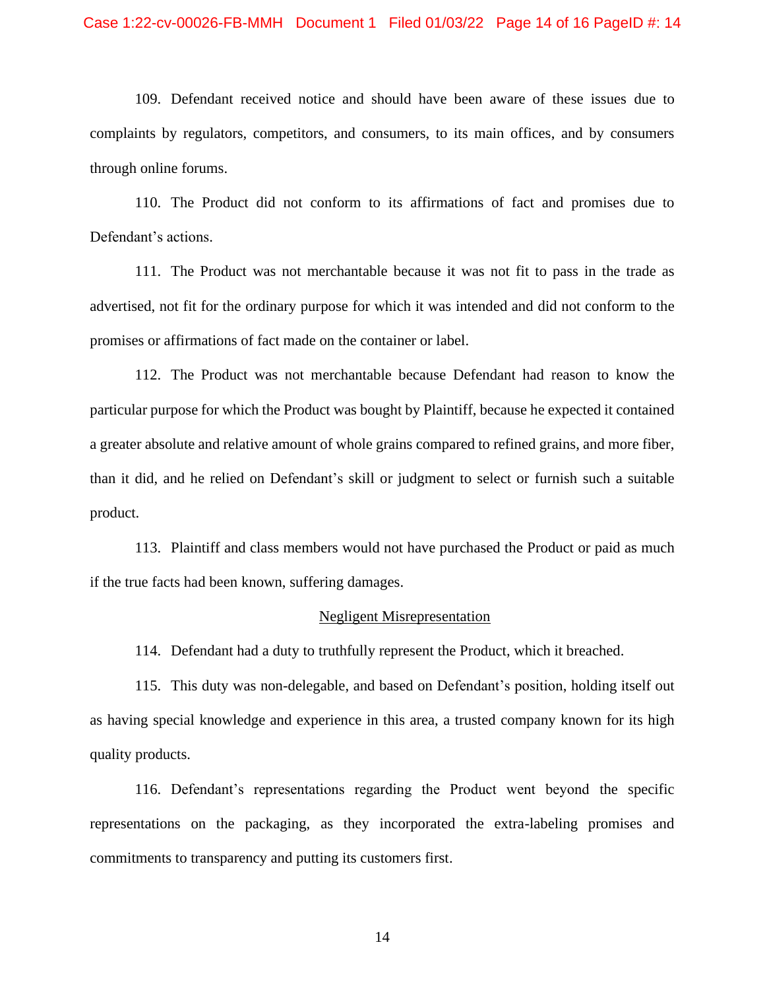#### Case 1:22-cv-00026-FB-MMH Document 1 Filed 01/03/22 Page 14 of 16 PageID #: 14

109. Defendant received notice and should have been aware of these issues due to complaints by regulators, competitors, and consumers, to its main offices, and by consumers through online forums.

110. The Product did not conform to its affirmations of fact and promises due to Defendant's actions.

111. The Product was not merchantable because it was not fit to pass in the trade as advertised, not fit for the ordinary purpose for which it was intended and did not conform to the promises or affirmations of fact made on the container or label.

112. The Product was not merchantable because Defendant had reason to know the particular purpose for which the Product was bought by Plaintiff, because he expected it contained a greater absolute and relative amount of whole grains compared to refined grains, and more fiber, than it did, and he relied on Defendant's skill or judgment to select or furnish such a suitable product.

113. Plaintiff and class members would not have purchased the Product or paid as much if the true facts had been known, suffering damages.

#### Negligent Misrepresentation

114. Defendant had a duty to truthfully represent the Product, which it breached.

115. This duty was non-delegable, and based on Defendant's position, holding itself out as having special knowledge and experience in this area, a trusted company known for its high quality products.

116. Defendant's representations regarding the Product went beyond the specific representations on the packaging, as they incorporated the extra-labeling promises and commitments to transparency and putting its customers first.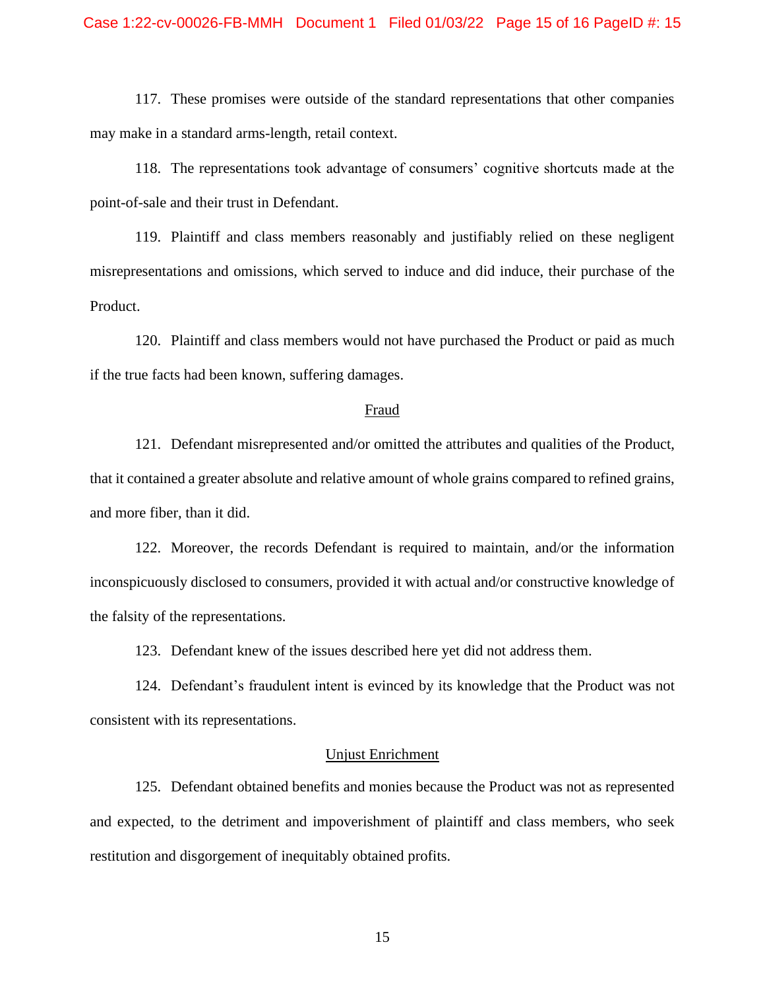#### Case 1:22-cv-00026-FB-MMH Document 1 Filed 01/03/22 Page 15 of 16 PageID #: 15

117. These promises were outside of the standard representations that other companies may make in a standard arms-length, retail context.

118. The representations took advantage of consumers' cognitive shortcuts made at the point-of-sale and their trust in Defendant.

119. Plaintiff and class members reasonably and justifiably relied on these negligent misrepresentations and omissions, which served to induce and did induce, their purchase of the Product.

120. Plaintiff and class members would not have purchased the Product or paid as much if the true facts had been known, suffering damages.

#### Fraud

121. Defendant misrepresented and/or omitted the attributes and qualities of the Product, that it contained a greater absolute and relative amount of whole grains compared to refined grains, and more fiber, than it did.

122. Moreover, the records Defendant is required to maintain, and/or the information inconspicuously disclosed to consumers, provided it with actual and/or constructive knowledge of the falsity of the representations.

123. Defendant knew of the issues described here yet did not address them.

124. Defendant's fraudulent intent is evinced by its knowledge that the Product was not consistent with its representations.

#### Unjust Enrichment

125. Defendant obtained benefits and monies because the Product was not as represented and expected, to the detriment and impoverishment of plaintiff and class members, who seek restitution and disgorgement of inequitably obtained profits.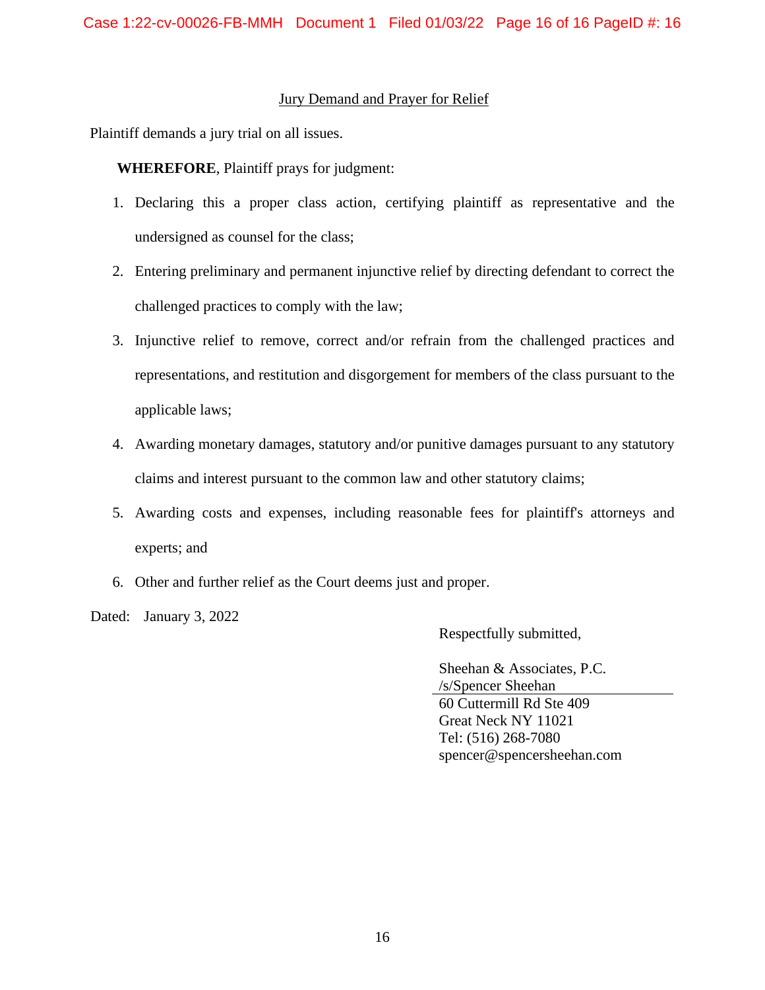#### Jury Demand and Prayer for Relief

Plaintiff demands a jury trial on all issues.

**WHEREFORE**, Plaintiff prays for judgment:

- 1. Declaring this a proper class action, certifying plaintiff as representative and the undersigned as counsel for the class;
- 2. Entering preliminary and permanent injunctive relief by directing defendant to correct the challenged practices to comply with the law;
- 3. Injunctive relief to remove, correct and/or refrain from the challenged practices and representations, and restitution and disgorgement for members of the class pursuant to the applicable laws;
- 4. Awarding monetary damages, statutory and/or punitive damages pursuant to any statutory claims and interest pursuant to the common law and other statutory claims;
- 5. Awarding costs and expenses, including reasonable fees for plaintiff's attorneys and experts; and
- 6. Other and further relief as the Court deems just and proper.

Dated: January 3, 2022

Respectfully submitted,

Sheehan & Associates, P.C. /s/Spencer Sheehan 60 Cuttermill Rd Ste 409 Great Neck NY 11021 Tel: (516) 268-7080 spencer@spencersheehan.com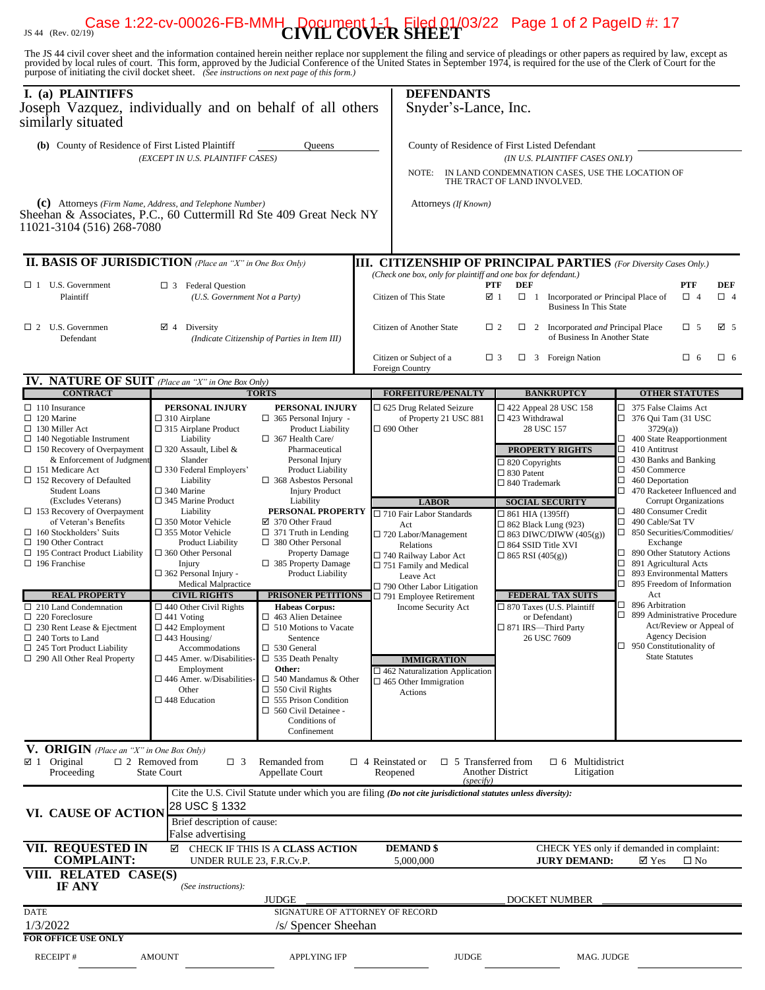# JS 44 (Rev. 02/19) **CIVIL COVER SHEET** Case 1:22-cv-00026-FB-MMH Document 1-1 Filed 01/03/22 Page 1 of 2 PageID #: 17

The JS 44 civil cover sheet and the information contained herein neither replace nor supplement the filing and service of pleadings or other papers as required by law, except as provided by local rules of court. This form,

| I. (a) PLAINTIFFS<br>Joseph Vazquez, individually and on behalf of all others<br>similarly situated                                                                                                                                        |                                                                                                                                                                                                                                                            |                                                                                                                                                                                                                       | <b>DEFENDANTS</b><br>Snyder's-Lance, Inc.                                                                                                                                                                 |                                                                                                                                                                         |                                                                                                                                                                                                                                                                                                                                |  |  |  |
|--------------------------------------------------------------------------------------------------------------------------------------------------------------------------------------------------------------------------------------------|------------------------------------------------------------------------------------------------------------------------------------------------------------------------------------------------------------------------------------------------------------|-----------------------------------------------------------------------------------------------------------------------------------------------------------------------------------------------------------------------|-----------------------------------------------------------------------------------------------------------------------------------------------------------------------------------------------------------|-------------------------------------------------------------------------------------------------------------------------------------------------------------------------|--------------------------------------------------------------------------------------------------------------------------------------------------------------------------------------------------------------------------------------------------------------------------------------------------------------------------------|--|--|--|
| (b) County of Residence of First Listed Plaintiff                                                                                                                                                                                          | (EXCEPT IN U.S. PLAINTIFF CASES)                                                                                                                                                                                                                           | <b>Oueens</b>                                                                                                                                                                                                         | NOTE:                                                                                                                                                                                                     | County of Residence of First Listed Defendant<br>(IN U.S. PLAINTIFF CASES ONLY)<br>IN LAND CONDEMNATION CASES, USE THE LOCATION OF<br>THE TRACT OF LAND INVOLVED.       |                                                                                                                                                                                                                                                                                                                                |  |  |  |
| (c) Attorneys (Firm Name, Address, and Telephone Number)<br>Sheehan & Associates, P.C., 60 Cuttermill Rd Ste 409 Great Neck NY<br>11021-3104 (516) 268-7080                                                                                |                                                                                                                                                                                                                                                            |                                                                                                                                                                                                                       | Attorneys (If Known)                                                                                                                                                                                      |                                                                                                                                                                         |                                                                                                                                                                                                                                                                                                                                |  |  |  |
| <b>II. BASIS OF JURISDICTION</b> (Place an "X" in One Box Only)                                                                                                                                                                            |                                                                                                                                                                                                                                                            |                                                                                                                                                                                                                       |                                                                                                                                                                                                           | <b>III. CITIZENSHIP OF PRINCIPAL PARTIES</b> (For Diversity Cases Only.)                                                                                                |                                                                                                                                                                                                                                                                                                                                |  |  |  |
| $\Box$ 1 U.S. Government<br>Plaintiff                                                                                                                                                                                                      | $\Box$ 3 Federal Question<br>(U.S. Government Not a Party)                                                                                                                                                                                                 |                                                                                                                                                                                                                       | (Check one box, only for plaintiff and one box for defendant.)<br>Citizen of This State                                                                                                                   | PTF<br>DEF<br>☑ 1<br>$\Box$ 1<br>Incorporated or Principal Place of<br><b>Business In This State</b>                                                                    | PTF<br>DEF<br>$\Box$ 4<br>$\Box$ 4                                                                                                                                                                                                                                                                                             |  |  |  |
| $\Box$ 2 U.S. Governmen<br>Defendant                                                                                                                                                                                                       | $\boxtimes$ 4 Diversity                                                                                                                                                                                                                                    | (Indicate Citizenship of Parties in Item III)                                                                                                                                                                         | Citizen of Another State                                                                                                                                                                                  | $\Box$ 2<br>$\Box$ 2<br>Incorporated and Principal Place<br>of Business In Another State                                                                                | ☑ 5<br>$\Box$ 5                                                                                                                                                                                                                                                                                                                |  |  |  |
|                                                                                                                                                                                                                                            |                                                                                                                                                                                                                                                            |                                                                                                                                                                                                                       | Citizen or Subject of a<br>Foreign Country                                                                                                                                                                | $\Box$ 3 Foreign Nation<br>$\Box$ 3                                                                                                                                     | $\Box$ 6<br>$\Box$ 6                                                                                                                                                                                                                                                                                                           |  |  |  |
| <b>IV. NATURE OF SUIT</b> (Place an "X" in One Box Only)                                                                                                                                                                                   |                                                                                                                                                                                                                                                            |                                                                                                                                                                                                                       |                                                                                                                                                                                                           |                                                                                                                                                                         |                                                                                                                                                                                                                                                                                                                                |  |  |  |
| <b>CONTRACT</b>                                                                                                                                                                                                                            | PERSONAL INJURY                                                                                                                                                                                                                                            | <b>TORTS</b>                                                                                                                                                                                                          | <b>FORFEITURE/PENALTY</b><br>□ 625 Drug Related Seizure                                                                                                                                                   | <b>BANKRUPTCY</b><br>$\Box$ 422 Appeal 28 USC 158                                                                                                                       | <b>OTHER STATUTES</b><br>□ 375 False Claims Act                                                                                                                                                                                                                                                                                |  |  |  |
| $\Box$ 110 Insurance<br>$\Box$ 120 Marine<br>$\Box$ 130 Miller Act<br>$\Box$ 140 Negotiable Instrument<br>$\Box$ 150 Recovery of Overpayment<br>& Enforcement of Judgment<br>$\Box$ 151 Medicare Act<br>$\Box$ 152 Recovery of Defaulted   | $\square$ 310 Airplane<br>$\square$ 315 Airplane Product<br>Liability<br>$\Box$ 320 Assault, Libel &<br>Slander<br>$\Box$ 330 Federal Employers'<br>Liability                                                                                              | PERSONAL INJURY<br>$\Box$ 365 Personal Injury -<br><b>Product Liability</b><br>$\Box$ 367 Health Care/<br>Pharmaceutical<br>Personal Injury<br><b>Product Liability</b><br>$\Box$ 368 Asbestos Personal               | of Property 21 USC 881<br>$\Box$ 690 Other                                                                                                                                                                | □ 423 Withdrawal<br>28 USC 157<br><b>PROPERTY RIGHTS</b><br>$\Box$ 820 Copyrights<br>$\Box$ 830 Patent<br>□ 840 Trademark                                               | $\Box$ 376 Qui Tam (31 USC<br>3729(a)<br>$\Box$ 400 State Reapportionment<br>$\Box$ 410 Antitrust<br>$\Box$ 430 Banks and Banking<br>$\Box$ 450 Commerce<br>$\Box$ 460 Deportation                                                                                                                                             |  |  |  |
| <b>Student Loans</b><br>(Excludes Veterans)<br>$\Box$ 153 Recovery of Overpayment<br>of Veteran's Benefits<br>$\Box$ 160 Stockholders' Suits<br>$\Box$ 190 Other Contract<br>$\Box$ 195 Contract Product Liability<br>$\Box$ 196 Franchise | $\square$ 340 Marine<br>$\Box$ 345 Marine Product<br>Liability<br>$\square$ 350 Motor Vehicle<br>$\Box$ 355 Motor Vehicle<br><b>Product Liability</b><br>$\Box$ 360 Other Personal<br>Injury<br>$\Box$ 362 Personal Injury -<br><b>Medical Malpractice</b> | <b>Injury Product</b><br>Liability<br>PERSONAL PROPERTY<br>☑ 370 Other Fraud<br>$\Box$ 371 Truth in Lending<br>$\Box$ 380 Other Personal<br>Property Damage<br>$\Box$ 385 Property Damage<br><b>Product Liability</b> | <b>LABOR</b><br>$\square$ 710 Fair Labor Standards<br>Act<br>□ 720 Labor/Management<br>Relations<br>□ 740 Railway Labor Act<br>□ 751 Family and Medical<br>Leave Act<br>$\Box$ 790 Other Labor Litigation | <b>SOCIAL SECURITY</b><br>$\Box$ 861 HIA (1395ff)<br>□ 862 Black Lung (923)<br>$\Box$ 863 DIWC/DIWW (405(g))<br>$\square$ 864 SSID Title XVI<br>$\Box$ 865 RSI (405(g)) | $\Box$ 470 Racketeer Influenced and<br>Corrupt Organizations<br>480 Consumer Credit<br>□.<br>$\Box$<br>490 Cable/Sat TV<br>$\Box$ 850 Securities/Commodities/<br>Exchange<br>$\Box$ 890 Other Statutory Actions<br>$\Box$<br>891 Agricultural Acts<br>893 Environmental Matters<br>$\Box$<br>$\Box$ 895 Freedom of Information |  |  |  |
| <b>REAL PROPERTY</b><br>$\square$ 210 Land Condemnation<br>$\Box$ 220 Foreclosure<br>$\Box$ 230 Rent Lease & Ejectment<br>$\Box$ 240 Torts to Land<br>$\Box$ 245 Tort Product Liability<br>$\Box$ 290 All Other Real Property              | <b>CIVIL RIGHTS</b><br>$\Box$ 440 Other Civil Rights<br>$\Box$ 441 Voting<br>$\Box$ 442 Employment<br>$\Box$ 443 Housing/<br>Accommodations<br>$\square$ 445 Amer. w/Disabilities-                                                                         | <b>PRISONER PETITIONS</b><br><b>Habeas Corpus:</b><br>$\Box$ 463 Alien Detainee<br>$\Box$ 510 Motions to Vacate<br>Sentence<br>$\square$ 530 General<br>$\Box$ 535 Death Penalty                                      | $\Box$ 791 Employee Retirement<br>Income Security Act<br><b>IMMIGRATION</b>                                                                                                                               | <b>FEDERAL TAX SUITS</b><br>□ 870 Taxes (U.S. Plaintiff<br>or Defendant)<br>□ 871 IRS-Third Party<br>26 USC 7609                                                        | Act<br>$\Box$ 896 Arbitration<br>□ 899 Administrative Procedure<br>Act/Review or Appeal of<br>Agency Decision<br>$\Box$ 950 Constitutionality of<br><b>State Statutes</b>                                                                                                                                                      |  |  |  |
|                                                                                                                                                                                                                                            | Employment<br>$\square$ 446 Amer. w/Disabilities-<br>Other<br>$\square$ 448 Education                                                                                                                                                                      | Other:<br>$\Box$ 540 Mandamus & Other<br>$\Box$ 550 Civil Rights<br>$\Box$ 555 Prison Condition<br>$\Box$ 560 Civil Detainee -<br>Conditions of<br>Confinement                                                        | $\Box$ 462 Naturalization Application<br>$\Box$ 465 Other Immigration<br>Actions                                                                                                                          |                                                                                                                                                                         |                                                                                                                                                                                                                                                                                                                                |  |  |  |
| V. ORIGIN (Place an "X" in One Box Only)<br>$\boxtimes$ 1 Original<br>Proceeding                                                                                                                                                           | $\Box$ 2 Removed from<br>$\Box$ 3<br><b>State Court</b>                                                                                                                                                                                                    | Remanded from<br>Appellate Court                                                                                                                                                                                      | $\Box$ 4 Reinstated or<br>Reopened<br>(specify)                                                                                                                                                           | $\Box$ 5 Transferred from<br>$\Box$ 6 Multidistrict<br><b>Another District</b><br>Litigation                                                                            |                                                                                                                                                                                                                                                                                                                                |  |  |  |
| VI. CAUSE OF ACTION                                                                                                                                                                                                                        | 28 USC § 1332<br>Brief description of cause:                                                                                                                                                                                                               |                                                                                                                                                                                                                       | Cite the U.S. Civil Statute under which you are filing (Do not cite jurisdictional statutes unless diversity):                                                                                            |                                                                                                                                                                         |                                                                                                                                                                                                                                                                                                                                |  |  |  |
| <b>VII. REQUESTED IN</b><br><b>COMPLAINT:</b>                                                                                                                                                                                              | False advertising<br>☑<br>UNDER RULE 23, F.R.Cv.P.                                                                                                                                                                                                         | CHECK IF THIS IS A CLASS ACTION                                                                                                                                                                                       | <b>DEMAND \$</b><br>5,000,000                                                                                                                                                                             | <b>JURY DEMAND:</b>                                                                                                                                                     | CHECK YES only if demanded in complaint:<br>$\boxtimes$ Yes<br>$\square$ No                                                                                                                                                                                                                                                    |  |  |  |
| VIII. RELATED CASE(S)<br><b>IF ANY</b>                                                                                                                                                                                                     | (See instructions):                                                                                                                                                                                                                                        | <b>JUDGE</b>                                                                                                                                                                                                          |                                                                                                                                                                                                           | <b>DOCKET NUMBER</b>                                                                                                                                                    |                                                                                                                                                                                                                                                                                                                                |  |  |  |
| <b>DATE</b><br>1/3/2022                                                                                                                                                                                                                    |                                                                                                                                                                                                                                                            | SIGNATURE OF ATTORNEY OF RECORD<br>/s/ Spencer Sheehan                                                                                                                                                                |                                                                                                                                                                                                           |                                                                                                                                                                         |                                                                                                                                                                                                                                                                                                                                |  |  |  |
| <b>FOR OFFICE USE ONLY</b>                                                                                                                                                                                                                 |                                                                                                                                                                                                                                                            |                                                                                                                                                                                                                       |                                                                                                                                                                                                           |                                                                                                                                                                         |                                                                                                                                                                                                                                                                                                                                |  |  |  |
| <b>RECEIPT#</b>                                                                                                                                                                                                                            | <b>AMOUNT</b>                                                                                                                                                                                                                                              | <b>APPLYING IFP</b>                                                                                                                                                                                                   | <b>JUDGE</b>                                                                                                                                                                                              | MAG. JUDGE                                                                                                                                                              |                                                                                                                                                                                                                                                                                                                                |  |  |  |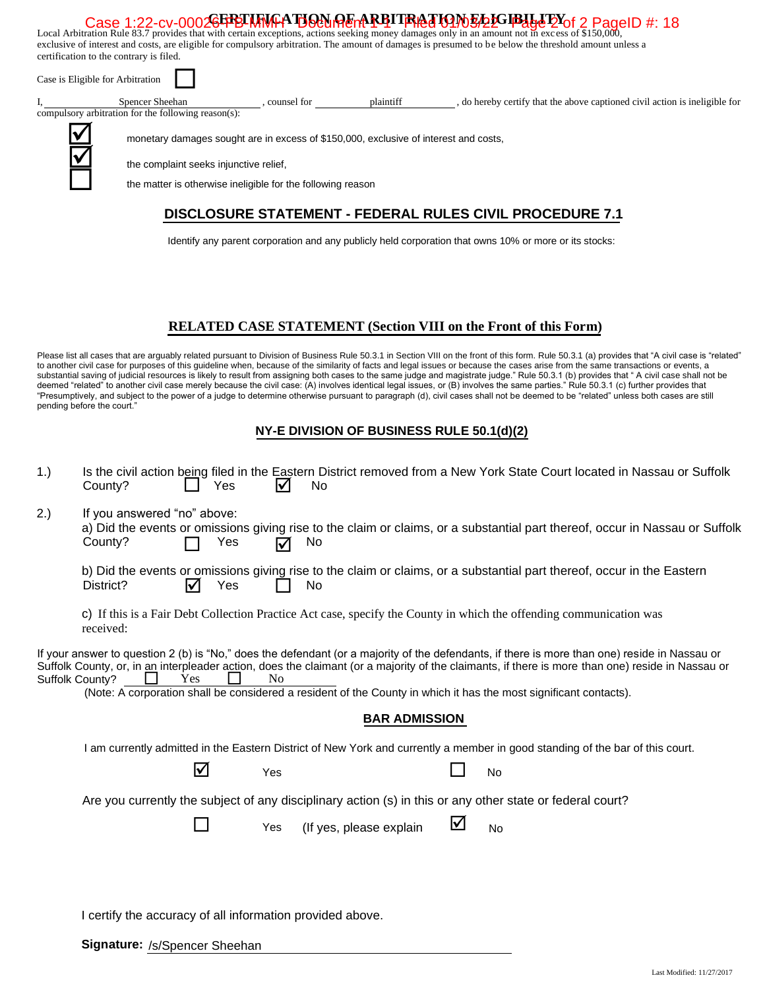#### *C***EFFELINGATION OF ARBITRATION ELECTBILITY** Case 1:22-cv-00026FFBLMMH DOUMER TRELLARY TRELLARY DURING AND TRELLARY SEE EXTITUTE TO A PageID #: 18<br>Local Arbitration Rule 83.7 provides that with certain exceptions, actions seeking money damages only in an amount not i

exclusive of interest and costs, are eligible for compulsory arbitration. The amount of damages is presumed to be below the threshold amount unless a certification to the contrary is filed.

| Case is Eligible for Arbitration |                                                                                                                                                                                               |             |           |                                                                             |
|----------------------------------|-----------------------------------------------------------------------------------------------------------------------------------------------------------------------------------------------|-------------|-----------|-----------------------------------------------------------------------------|
|                                  | Spencer Sheehan<br>compulsory arbitration for the following reason(s):                                                                                                                        | counsel for | plaintiff | , do hereby certify that the above captioned civil action is ineligible for |
| IV                               | monetary damages sought are in excess of \$150,000, exclusive of interest and costs,<br>the complaint seeks injunctive relief,<br>the matter is otherwise ineligible for the following reason |             |           |                                                                             |
|                                  |                                                                                                                                                                                               |             |           | <b>DISCLOSURE STATEMENT - FEDERAL RULES CIVIL PROCEDURE 7.1</b>             |

Identify any parent corporation and any publicly held corporation that owns 10% or more or its stocks:

# **RELATED CASE STATEMENT (Section VIII on the Front of this Form)**

Please list all cases that are arguably related pursuant to Division of Business Rule 50.3.1 in Section VIII on the front of this form. Rule 50.3.1 (a) provides that "A civil case is "related" to another civil case for purposes of this guideline when, because of the similarity of facts and legal issues or because the cases arise from the same transactions or events, a substantial saving of judicial resources is likely to result from assigning both cases to the same judge and magistrate judge." Rule 50.3.1 (b) provides that "A civil case shall not be deemed "related" to another civil case merely because the civil case: (A) involves identical legal issues, or (B) involves the same parties." Rule 50.3.1 (c) further provides that "Presumptively, and subject to the power of a judge to determine otherwise pursuant to paragraph (d), civil cases shall not be deemed to be "related" unless both cases are still pending before the court."

#### **NY-E DIVISION OF BUSINESS RULE 50.1(d)(2)**

| 1.) | County?                                                   | Yes                            | IV             | <b>No</b>               |   | Is the civil action being filed in the Eastern District removed from a New York State Court located in Nassau or Suffolk                                                                                                                                                                                                                                                                                               |  |
|-----|-----------------------------------------------------------|--------------------------------|----------------|-------------------------|---|------------------------------------------------------------------------------------------------------------------------------------------------------------------------------------------------------------------------------------------------------------------------------------------------------------------------------------------------------------------------------------------------------------------------|--|
| 2.) | If you answered "no" above:<br>County?                    | Yes                            | ☑              | No.                     |   | a) Did the events or omissions giving rise to the claim or claims, or a substantial part thereof, occur in Nassau or Suffolk                                                                                                                                                                                                                                                                                           |  |
|     | District?                                                 | Yes<br>$\overline{\mathsf{M}}$ |                | No                      |   | b) Did the events or omissions giving rise to the claim or claims, or a substantial part thereof, occur in the Eastern                                                                                                                                                                                                                                                                                                 |  |
|     | received:                                                 |                                |                |                         |   | c) If this is a Fair Debt Collection Practice Act case, specify the County in which the offending communication was                                                                                                                                                                                                                                                                                                    |  |
|     | Suffolk County?                                           | Yes                            | N <sub>0</sub> |                         |   | If your answer to question 2 (b) is "No," does the defendant (or a majority of the defendants, if there is more than one) reside in Nassau or<br>Suffolk County, or, in an interpleader action, does the claimant (or a majority of the claimants, if there is more than one) reside in Nassau or<br>(Note: A corporation shall be considered a resident of the County in which it has the most significant contacts). |  |
|     |                                                           |                                |                | <b>BAR ADMISSION</b>    |   |                                                                                                                                                                                                                                                                                                                                                                                                                        |  |
|     |                                                           |                                |                |                         |   | I am currently admitted in the Eastern District of New York and currently a member in good standing of the bar of this court.                                                                                                                                                                                                                                                                                          |  |
|     |                                                           | ☑                              | Yes            |                         |   | <b>No</b>                                                                                                                                                                                                                                                                                                                                                                                                              |  |
|     |                                                           |                                |                |                         |   | Are you currently the subject of any disciplinary action (s) in this or any other state or federal court?                                                                                                                                                                                                                                                                                                              |  |
|     |                                                           |                                | Yes            | (If yes, please explain | ⊻ | No                                                                                                                                                                                                                                                                                                                                                                                                                     |  |
|     |                                                           |                                |                |                         |   |                                                                                                                                                                                                                                                                                                                                                                                                                        |  |
|     | I certify the accuracy of all information provided above. |                                |                |                         |   |                                                                                                                                                                                                                                                                                                                                                                                                                        |  |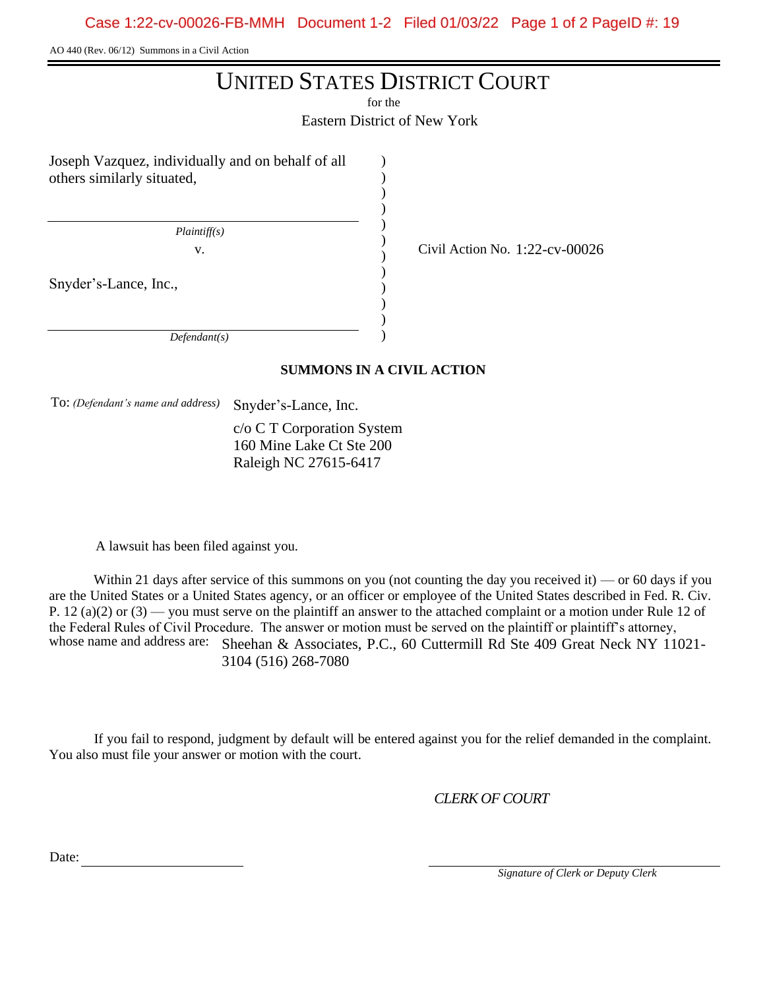AO 440 (Rev. 06/12) Summons in a Civil Action

# UNITED STATES DISTRICT COURT

for the

Eastern District of New York

) ) ) ) ) ) ) ) ) ) )

Joseph Vazquez, individually and on behalf of all others similarly situated,

 *Plaintiff(s)*

Snyder's-Lance, Inc.,

 *Defendant(s)*

# )

v.  $\frac{1}{22}$  Civil Action No. 1:22-cv-00026

# **SUMMONS IN A CIVIL ACTION**

To: *(Defendant's name and address)* Snyder's-Lance, Inc.

c/o C T Corporation System 160 Mine Lake Ct Ste 200 Raleigh NC 27615-6417

A lawsuit has been filed against you.

Within 21 days after service of this summons on you (not counting the day you received it) — or 60 days if you are the United States or a United States agency, or an officer or employee of the United States described in Fed. R. Civ. P. 12 (a)(2) or  $(3)$  — you must serve on the plaintiff an answer to the attached complaint or a motion under Rule 12 of the Federal Rules of Civil Procedure. The answer or motion must be served on the plaintiff or plaintiff's attorney, whose name and address are: Sheehan & Associates, P.C., 60 Cuttermill Rd Ste 409 Great Neck NY 11021-3104 (516) 268-7080

If you fail to respond, judgment by default will be entered against you for the relief demanded in the complaint. You also must file your answer or motion with the court.

*CLERK OF COURT*

Date:

 *Signature of Clerk or Deputy Clerk*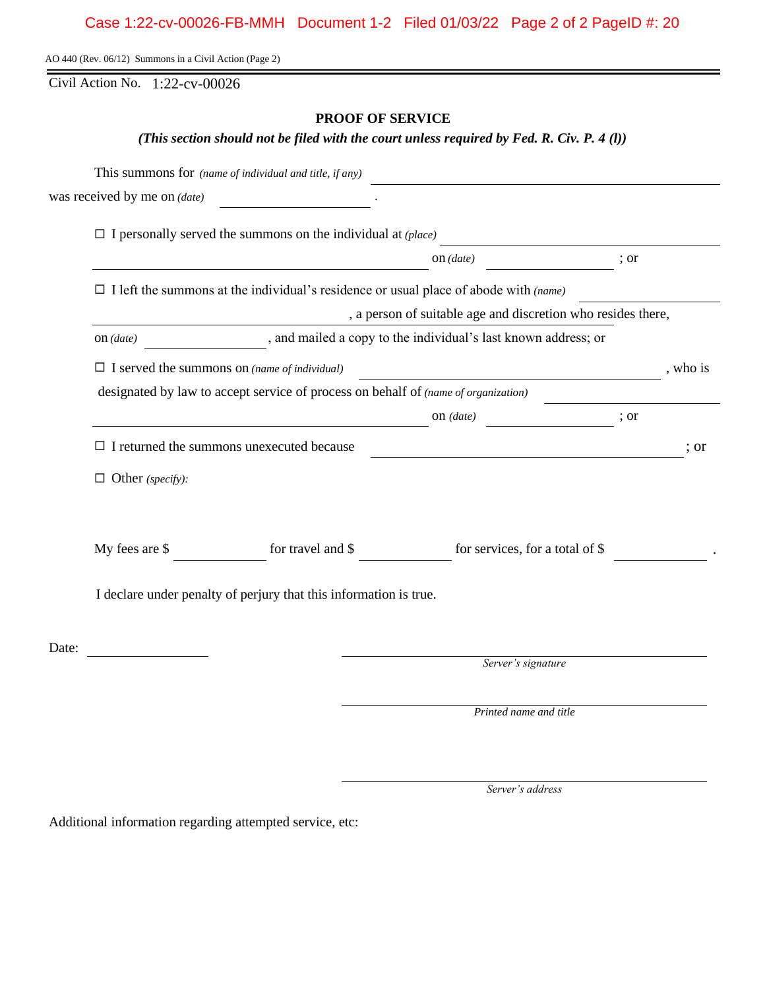AO 440 (Rev. 06/12) Summons in a Civil Action (Page 2)

Civil Action No. 1:22-cv-00026

#### **PROOF OF SERVICE**

*(This section should not be filed with the court unless required by Fed. R. Civ. P. 4 (l))*

|                         | was received by me on $(data)$                                                              |                                                                                                                       |      |          |
|-------------------------|---------------------------------------------------------------------------------------------|-----------------------------------------------------------------------------------------------------------------------|------|----------|
|                         | $\Box$ I personally served the summons on the individual at (place)                         |                                                                                                                       |      |          |
|                         |                                                                                             | on (date)                                                                                                             | ; or |          |
|                         | $\Box$ I left the summons at the individual's residence or usual place of abode with (name) |                                                                                                                       |      |          |
|                         |                                                                                             | , a person of suitable age and discretion who resides there,                                                          |      |          |
| on (date)               |                                                                                             | , and mailed a copy to the individual's last known address; or                                                        |      |          |
|                         | $\Box$ I served the summons on (name of individual)                                         | <u> 1980 - Johann Barn, mars ann an t-Amhain Aonaichte ann an t-Amhain Aonaichte ann an t-Amhain Aonaichte ann an</u> |      | , who is |
|                         | designated by law to accept service of process on behalf of (name of organization)          |                                                                                                                       |      |          |
|                         |                                                                                             | on $(data)$                                                                                                           | ; or |          |
|                         | $\Box$ I returned the summons unexecuted because                                            |                                                                                                                       |      | : or     |
| $\Box$ Other (specify): |                                                                                             |                                                                                                                       |      |          |
| My fees are \$          |                                                                                             | for travel and $\$ for services, for a total of $\$$                                                                  |      |          |
|                         | I declare under penalty of perjury that this information is true.                           |                                                                                                                       |      |          |
| Date:                   |                                                                                             |                                                                                                                       |      |          |
|                         |                                                                                             | Server's signature                                                                                                    |      |          |
|                         |                                                                                             | Printed name and title                                                                                                |      |          |

*Server's address*

Additional information regarding attempted service, etc: